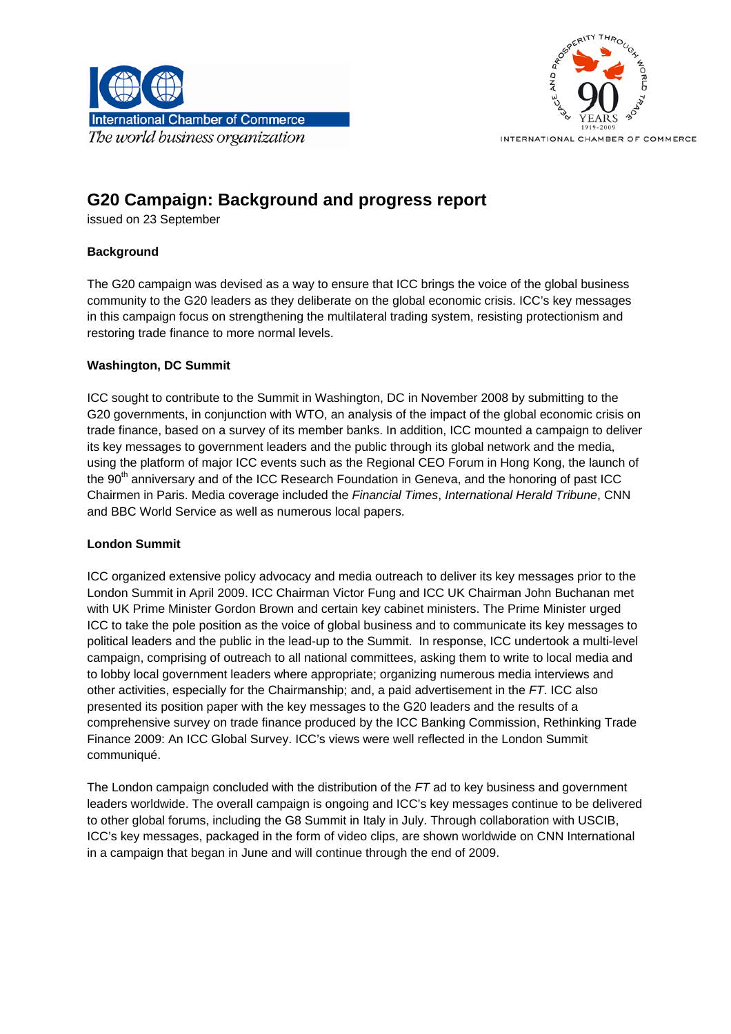



# **G20 Campaign: Background and progress report**

issued on 23 September

### **Background**

The G20 campaign was devised as a way to ensure that ICC brings the voice of the global business community to the G20 leaders as they deliberate on the global economic crisis. ICC's key messages in this campaign focus on strengthening the multilateral trading system, resisting protectionism and restoring trade finance to more normal levels.

#### **Washington, DC Summit**

ICC sought to contribute to the Summit in Washington, DC in November 2008 by submitting to the G20 governments, in conjunction with WTO, an analysis of the impact of the global economic crisis on trade finance, based on a survey of its member banks. In addition, ICC mounted a campaign to deliver its key messages to government leaders and the public through its global network and the media, using the platform of major ICC events such as the Regional CEO Forum in Hong Kong, the launch of the 90<sup>th</sup> anniversary and of the ICC Research Foundation in Geneva, and the honoring of past ICC Chairmen in Paris. Media coverage included the *Financial Times*, *International Herald Tribune*, CNN and BBC World Service as well as numerous local papers.

#### **London Summit**

ICC organized extensive policy advocacy and media outreach to deliver its key messages prior to the London Summit in April 2009. ICC Chairman Victor Fung and ICC UK Chairman John Buchanan met with UK Prime Minister Gordon Brown and certain key cabinet ministers. The Prime Minister urged ICC to take the pole position as the voice of global business and to communicate its key messages to political leaders and the public in the lead-up to the Summit. In response, ICC undertook a multi-level campaign, comprising of outreach to all national committees, asking them to write to local media and to lobby local government leaders where appropriate; organizing numerous media interviews and other activities, especially for the Chairmanship; and, a paid advertisement in the *FT*. ICC also presented its position paper with the key messages to the G20 leaders and the results of a comprehensive survey on trade finance produced by the ICC Banking Commission, Rethinking Trade Finance 2009: An ICC Global Survey. ICC's views were well reflected in the London Summit communiqué.

The London campaign concluded with the distribution of the *FT* ad to key business and government leaders worldwide. The overall campaign is ongoing and ICC's key messages continue to be delivered to other global forums, including the G8 Summit in Italy in July. Through collaboration with USCIB, ICC's key messages, packaged in the form of video clips, are shown worldwide on CNN International in a campaign that began in June and will continue through the end of 2009.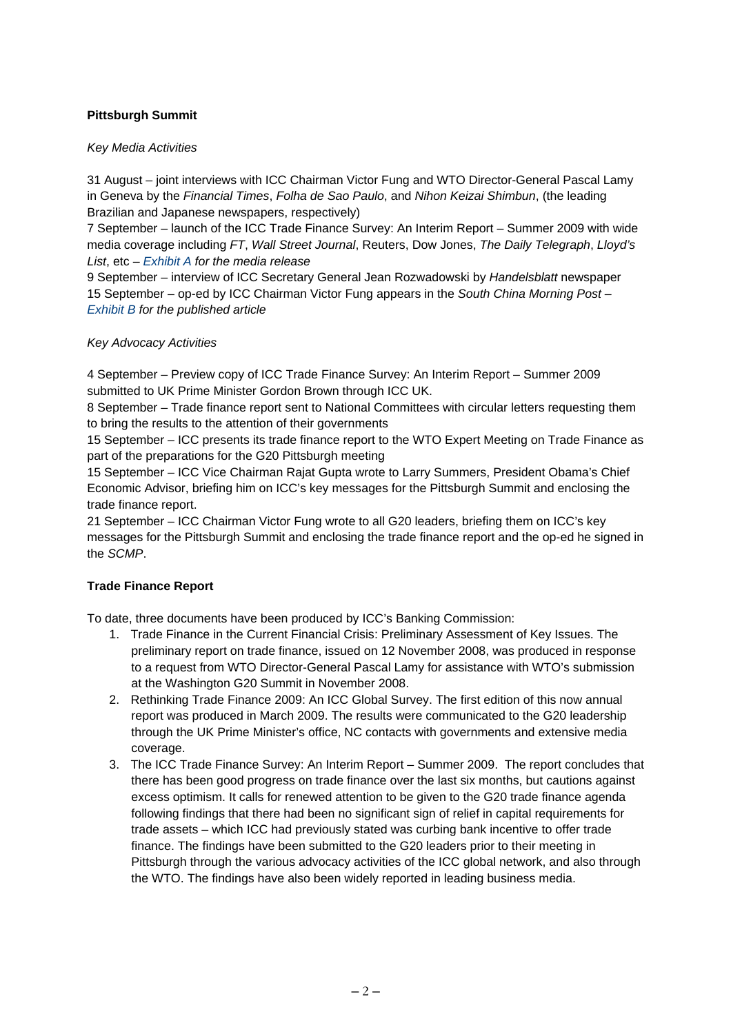## **Pittsburgh Summit**

#### *Key Media Activities*

31 August – joint interviews with ICC Chairman Victor Fung and WTO Director-General Pascal Lamy in Geneva by the *Financial Times*, *Folha de Sao Paulo*, and *Nihon Keizai Shimbun*, (the leading Brazilian and Japanese newspapers, respectively)

7 September – launch of the ICC Trade Finance Survey: An Interim Report – Summer 2009 with wide media coverage including *FT*, *Wall Street Journal*, Reuters, Dow Jones, *The Daily Telegraph*, *Lloyd's List*, etc – *[Exhibit A](#page-2-0) for the media release*

9 September – interview of ICC Secretary General Jean Rozwadowski by *Handelsblatt* newspaper 15 September – op-ed by ICC Chairman Victor Fung appears in the *South China Morning Post* – *[Exhibit B](#page-4-0) for the published article* 

#### *Key Advocacy Activities*

4 September – Preview copy of ICC Trade Finance Survey: An Interim Report – Summer 2009 submitted to UK Prime Minister Gordon Brown through ICC UK.

8 September – Trade finance report sent to National Committees with circular letters requesting them to bring the results to the attention of their governments

15 September – ICC presents its trade finance report to the WTO Expert Meeting on Trade Finance as part of the preparations for the G20 Pittsburgh meeting

15 September – ICC Vice Chairman Rajat Gupta wrote to Larry Summers, President Obama's Chief Economic Advisor, briefing him on ICC's key messages for the Pittsburgh Summit and enclosing the trade finance report.

21 September – ICC Chairman Victor Fung wrote to all G20 leaders, briefing them on ICC's key messages for the Pittsburgh Summit and enclosing the trade finance report and the op-ed he signed in the *SCMP*.

## **Trade Finance Report**

To date, three documents have been produced by ICC's Banking Commission:

- 1. Trade Finance in the Current Financial Crisis: Preliminary Assessment of Key Issues. The preliminary report on trade finance, issued on 12 November 2008, was produced in response to a request from WTO Director-General Pascal Lamy for assistance with WTO's submission at the Washington G20 Summit in November 2008.
- 2. Rethinking Trade Finance 2009: An ICC Global Survey. The first edition of this now annual report was produced in March 2009. The results were communicated to the G20 leadership through the UK Prime Minister's office, NC contacts with governments and extensive media coverage.
- 3. The ICC Trade Finance Survey: An Interim Report Summer 2009. The report concludes that there has been good progress on trade finance over the last six months, but cautions against excess optimism. It calls for renewed attention to be given to the G20 trade finance agenda following findings that there had been no significant sign of relief in capital requirements for trade assets – which ICC had previously stated was curbing bank incentive to offer trade finance. The findings have been submitted to the G20 leaders prior to their meeting in Pittsburgh through the various advocacy activities of the ICC global network, and also through the WTO. The findings have also been widely reported in leading business media.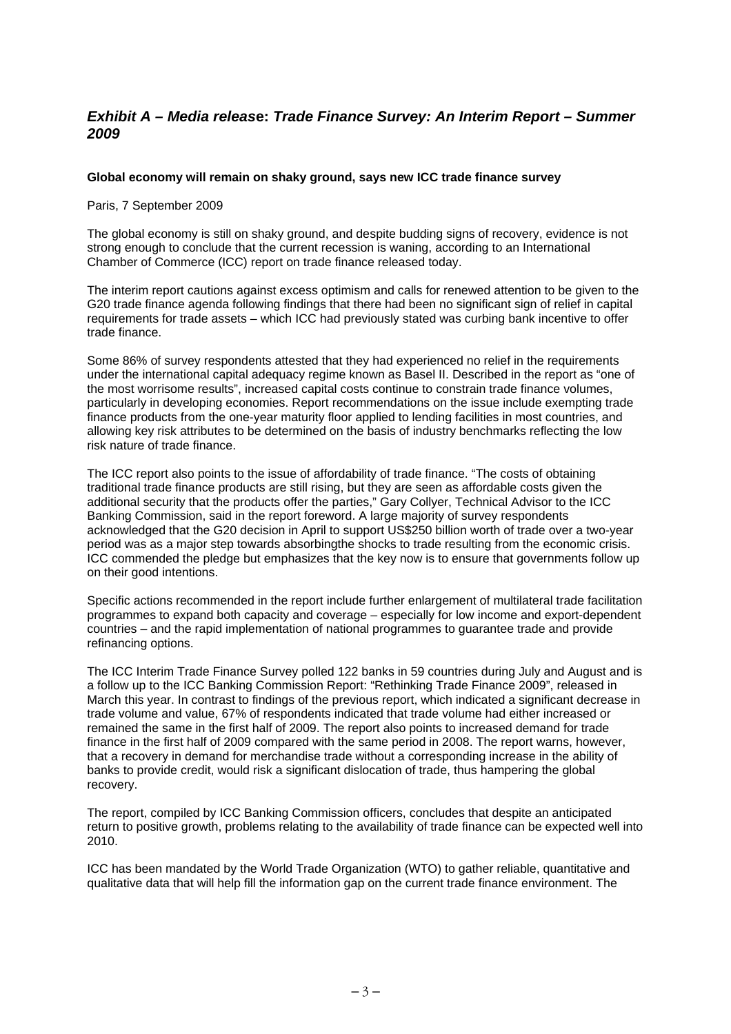## <span id="page-2-0"></span>*Exhibit A – Media releas***e:** *Trade Finance Survey: An Interim Report – Summer 2009*

#### **Global economy will remain on shaky ground, says new ICC trade finance survey**

Paris, 7 September 2009

The global economy is still on shaky ground, and despite budding signs of recovery, evidence is not strong enough to conclude that the current recession is waning, according to an International Chamber of Commerce (ICC) report on trade finance released today.

The interim report cautions against excess optimism and calls for renewed attention to be given to the G20 trade finance agenda following findings that there had been no significant sign of relief in capital requirements for trade assets – which ICC had previously stated was curbing bank incentive to offer trade finance.

Some 86% of survey respondents attested that they had experienced no relief in the requirements under the international capital adequacy regime known as Basel II. Described in the report as "one of the most worrisome results", increased capital costs continue to constrain trade finance volumes, particularly in developing economies. Report recommendations on the issue include exempting trade finance products from the one-year maturity floor applied to lending facilities in most countries, and allowing key risk attributes to be determined on the basis of industry benchmarks reflecting the low risk nature of trade finance.

The ICC report also points to the issue of affordability of trade finance. "The costs of obtaining traditional trade finance products are still rising, but they are seen as affordable costs given the additional security that the products offer the parties," Gary Collyer, Technical Advisor to the ICC Banking Commission, said in the report foreword. A large majority of survey respondents acknowledged that the G20 decision in April to support US\$250 billion worth of trade over a two-year period was as a major step towards absorbingthe shocks to trade resulting from the economic crisis. ICC commended the pledge but emphasizes that the key now is to ensure that governments follow up on their good intentions.

Specific actions recommended in the report include further enlargement of multilateral trade facilitation programmes to expand both capacity and coverage – especially for low income and export-dependent countries – and the rapid implementation of national programmes to guarantee trade and provide refinancing options.

The ICC Interim Trade Finance Survey polled 122 banks in 59 countries during July and August and is a follow up to the ICC Banking Commission Report: "Rethinking Trade Finance 2009", released in March this year. In contrast to findings of the previous report, which indicated a significant decrease in trade volume and value, 67% of respondents indicated that trade volume had either increased or remained the same in the first half of 2009. The report also points to increased demand for trade finance in the first half of 2009 compared with the same period in 2008. The report warns, however, that a recovery in demand for merchandise trade without a corresponding increase in the ability of banks to provide credit, would risk a significant dislocation of trade, thus hampering the global recovery.

The report, compiled by ICC Banking Commission officers, concludes that despite an anticipated return to positive growth, problems relating to the availability of trade finance can be expected well into 2010.

ICC has been mandated by the World Trade Organization (WTO) to gather reliable, quantitative and qualitative data that will help fill the information gap on the current trade finance environment. The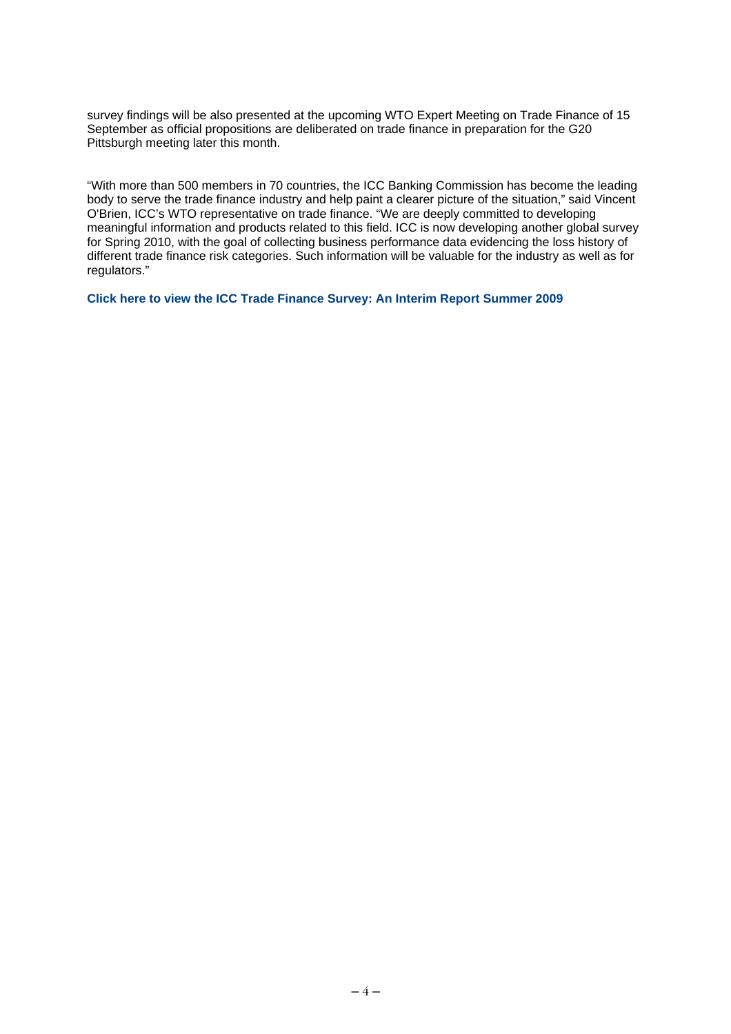survey findings will be also presented at the upcoming WTO Expert Meeting on Trade Finance of 15 September as official propositions are deliberated on trade finance in preparation for the G20 Pittsburgh meeting later this month.

"With more than 500 members in 70 countries, the ICC Banking Commission has become the leading body to serve the trade finance industry and help paint a clearer picture of the situation," said Vincent O'Brien, ICC's WTO representative on trade finance. "We are deeply committed to developing meaningful information and products related to this field. ICC is now developing another global survey for Spring 2010, with the goal of collecting business performance data evidencing the loss history of different trade finance risk categories. Such information will be valuable for the industry as well as for regulators."

**Click here to view [the ICC Trade Finance Survey: An Interim Report Summer 2009](http://www.iccwbo.org/uploadedFiles/ICC_Interim_Trade_Finance_Report_Summer_2009.pdf)**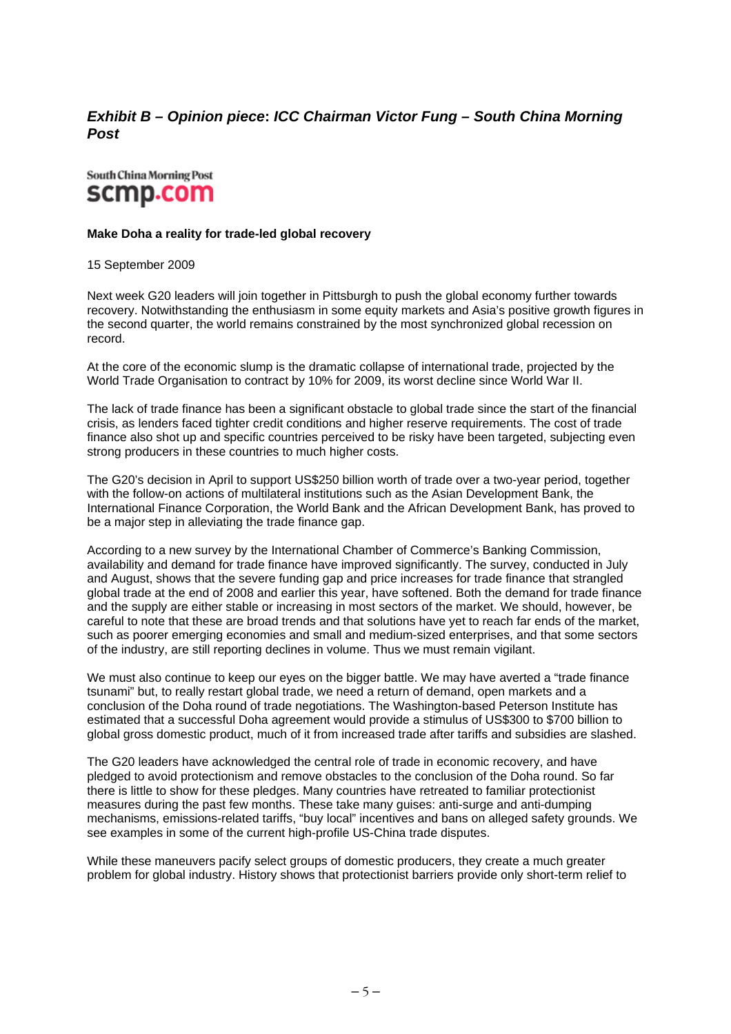## <span id="page-4-0"></span>*Exhibit B – Opinion piece***:** *ICC Chairman Victor Fung – South China Morning Post*

# South China Morning Post scmp.com

#### **Make Doha a reality for trade-led global recovery**

15 September 2009

Next week G20 leaders will join together in Pittsburgh to push the global economy further towards recovery. Notwithstanding the enthusiasm in some equity markets and Asia's positive growth figures in the second quarter, the world remains constrained by the most synchronized global recession on record.

At the core of the economic slump is the dramatic collapse of international trade, projected by the World Trade Organisation to contract by 10% for 2009, its worst decline since World War II.

The lack of trade finance has been a significant obstacle to global trade since the start of the financial crisis, as lenders faced tighter credit conditions and higher reserve requirements. The cost of trade finance also shot up and specific countries perceived to be risky have been targeted, subjecting even strong producers in these countries to much higher costs.

The G20's decision in April to support US\$250 billion worth of trade over a two-year period, together with the follow-on actions of multilateral institutions such as the Asian Development Bank, the International Finance Corporation, the World Bank and the African Development Bank, has proved to be a major step in alleviating the trade finance gap.

According to a new survey by the International Chamber of Commerce's Banking Commission, availability and demand for trade finance have improved significantly. The survey, conducted in July and August, shows that the severe funding gap and price increases for trade finance that strangled global trade at the end of 2008 and earlier this year, have softened. Both the demand for trade finance and the supply are either stable or increasing in most sectors of the market. We should, however, be careful to note that these are broad trends and that solutions have yet to reach far ends of the market, such as poorer emerging economies and small and medium-sized enterprises, and that some sectors of the industry, are still reporting declines in volume. Thus we must remain vigilant.

We must also continue to keep our eyes on the bigger battle. We may have averted a "trade finance tsunami" but, to really restart global trade, we need a return of demand, open markets and a conclusion of the Doha round of trade negotiations. The Washington-based Peterson Institute has estimated that a successful Doha agreement would provide a stimulus of US\$300 to \$700 billion to global gross domestic product, much of it from increased trade after tariffs and subsidies are slashed.

The G20 leaders have acknowledged the central role of trade in economic recovery, and have pledged to avoid protectionism and remove obstacles to the conclusion of the Doha round. So far there is little to show for these pledges. Many countries have retreated to familiar protectionist measures during the past few months. These take many guises: anti-surge and anti-dumping mechanisms, emissions-related tariffs, "buy local" incentives and bans on alleged safety grounds. We see examples in some of the current high-profile US-China trade disputes.

While these maneuvers pacify select groups of domestic producers, they create a much greater problem for global industry. History shows that protectionist barriers provide only short-term relief to